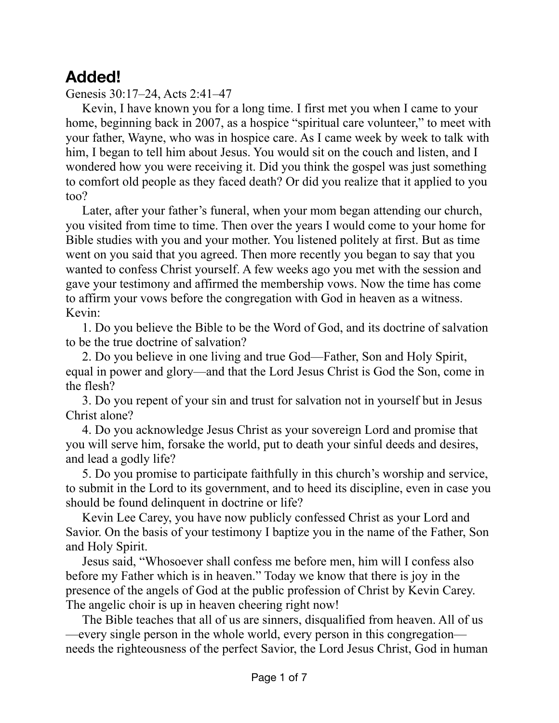## **Added!**

Genesis 30:17–24, Acts 2:41–47

Kevin, I have known you for a long time. I first met you when I came to your home, beginning back in 2007, as a hospice "spiritual care volunteer," to meet with your father, Wayne, who was in hospice care. As I came week by week to talk with him, I began to tell him about Jesus. You would sit on the couch and listen, and I wondered how you were receiving it. Did you think the gospel was just something to comfort old people as they faced death? Or did you realize that it applied to you too?

Later, after your father's funeral, when your mom began attending our church, you visited from time to time. Then over the years I would come to your home for Bible studies with you and your mother. You listened politely at first. But as time went on you said that you agreed. Then more recently you began to say that you wanted to confess Christ yourself. A few weeks ago you met with the session and gave your testimony and affirmed the membership vows. Now the time has come to affirm your vows before the congregation with God in heaven as a witness. Kevin:

1. Do you believe the Bible to be the Word of God, and its doctrine of salvation to be the true doctrine of salvation?

2. Do you believe in one living and true God—Father, Son and Holy Spirit, equal in power and glory—and that the Lord Jesus Christ is God the Son, come in the flesh?

3. Do you repent of your sin and trust for salvation not in yourself but in Jesus Christ alone?

4. Do you acknowledge Jesus Christ as your sovereign Lord and promise that you will serve him, forsake the world, put to death your sinful deeds and desires, and lead a godly life?

5. Do you promise to participate faithfully in this church's worship and service, to submit in the Lord to its government, and to heed its discipline, even in case you should be found delinquent in doctrine or life?

Kevin Lee Carey, you have now publicly confessed Christ as your Lord and Savior. On the basis of your testimony I baptize you in the name of the Father, Son and Holy Spirit.

Jesus said, "Whosoever shall confess me before men, him will I confess also before my Father which is in heaven." Today we know that there is joy in the presence of the angels of God at the public profession of Christ by Kevin Carey. The angelic choir is up in heaven cheering right now!

The Bible teaches that all of us are sinners, disqualified from heaven. All of us —every single person in the whole world, every person in this congregation needs the righteousness of the perfect Savior, the Lord Jesus Christ, God in human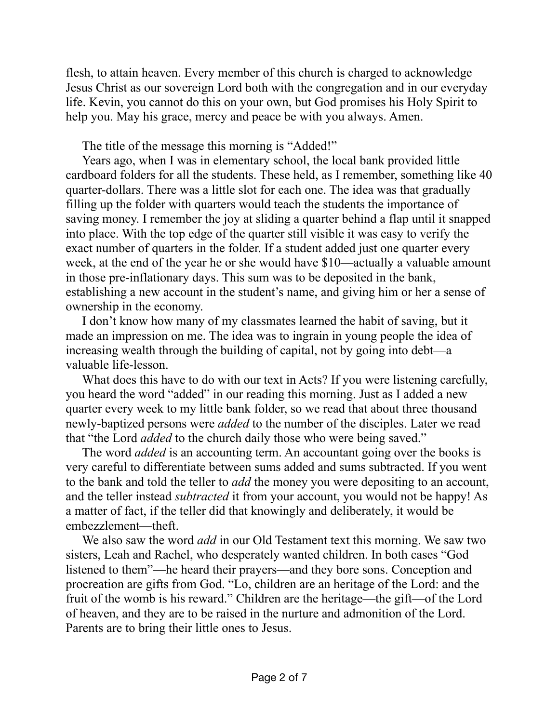flesh, to attain heaven. Every member of this church is charged to acknowledge Jesus Christ as our sovereign Lord both with the congregation and in our everyday life. Kevin, you cannot do this on your own, but God promises his Holy Spirit to help you. May his grace, mercy and peace be with you always. Amen.

The title of the message this morning is "Added!"

Years ago, when I was in elementary school, the local bank provided little cardboard folders for all the students. These held, as I remember, something like 40 quarter-dollars. There was a little slot for each one. The idea was that gradually filling up the folder with quarters would teach the students the importance of saving money. I remember the joy at sliding a quarter behind a flap until it snapped into place. With the top edge of the quarter still visible it was easy to verify the exact number of quarters in the folder. If a student added just one quarter every week, at the end of the year he or she would have \$10—actually a valuable amount in those pre-inflationary days. This sum was to be deposited in the bank, establishing a new account in the student's name, and giving him or her a sense of ownership in the economy.

I don't know how many of my classmates learned the habit of saving, but it made an impression on me. The idea was to ingrain in young people the idea of increasing wealth through the building of capital, not by going into debt—a valuable life-lesson.

What does this have to do with our text in Acts? If you were listening carefully, you heard the word "added" in our reading this morning. Just as I added a new quarter every week to my little bank folder, so we read that about three thousand newly-baptized persons were *added* to the number of the disciples. Later we read that "the Lord *added* to the church daily those who were being saved."

The word *added* is an accounting term. An accountant going over the books is very careful to differentiate between sums added and sums subtracted. If you went to the bank and told the teller to *add* the money you were depositing to an account, and the teller instead *subtracted* it from your account, you would not be happy! As a matter of fact, if the teller did that knowingly and deliberately, it would be embezzlement—theft.

We also saw the word *add* in our Old Testament text this morning. We saw two sisters, Leah and Rachel, who desperately wanted children. In both cases "God listened to them"—he heard their prayers—and they bore sons. Conception and procreation are gifts from God. "Lo, children are an heritage of the Lord: and the fruit of the womb is his reward." Children are the heritage—the gift—of the Lord of heaven, and they are to be raised in the nurture and admonition of the Lord. Parents are to bring their little ones to Jesus.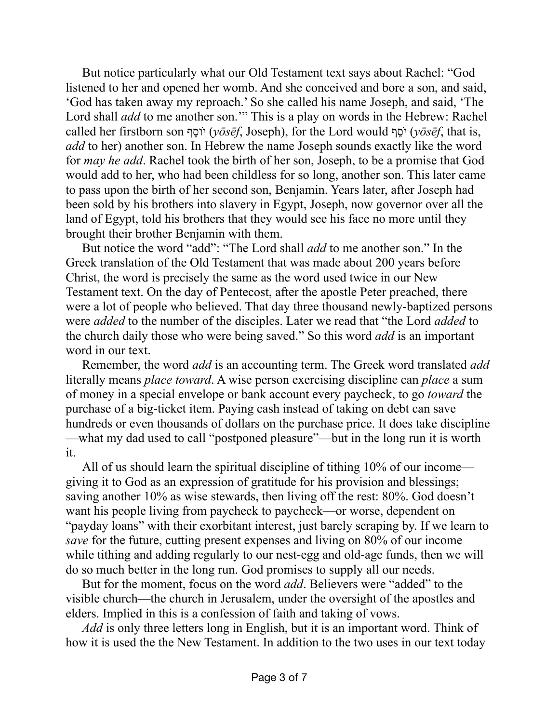But notice particularly what our Old Testament text says about Rachel: "God listened to her and opened her womb. And she conceived and bore a son, and said, 'God has taken away my reproach.' So she called his name Joseph, and said, 'The Lord shall *add* to me another son." This is a play on words in the Hebrew: Rachel called her firstborn son ףֵוסֹ י) *yōsēf*, Joseph), for the Lord would ףֵסֹ י) *yōsēf*, that is, *add* to her) another son. In Hebrew the name Joseph sounds exactly like the word for *may he add*. Rachel took the birth of her son, Joseph, to be a promise that God would add to her, who had been childless for so long, another son. This later came to pass upon the birth of her second son, Benjamin. Years later, after Joseph had been sold by his brothers into slavery in Egypt, Joseph, now governor over all the land of Egypt, told his brothers that they would see his face no more until they brought their brother Benjamin with them.

But notice the word "add": "The Lord shall *add* to me another son." In the Greek translation of the Old Testament that was made about 200 years before Christ, the word is precisely the same as the word used twice in our New Testament text. On the day of Pentecost, after the apostle Peter preached, there were a lot of people who believed. That day three thousand newly-baptized persons were *added* to the number of the disciples. Later we read that "the Lord *added* to the church daily those who were being saved." So this word *add* is an important word in our text.

Remember, the word *add* is an accounting term. The Greek word translated *add* literally means *place toward*. A wise person exercising discipline can *place* a sum of money in a special envelope or bank account every paycheck, to go *toward* the purchase of a big-ticket item. Paying cash instead of taking on debt can save hundreds or even thousands of dollars on the purchase price. It does take discipline —what my dad used to call "postponed pleasure"—but in the long run it is worth it.

All of us should learn the spiritual discipline of tithing 10% of our income giving it to God as an expression of gratitude for his provision and blessings; saving another 10% as wise stewards, then living off the rest: 80%. God doesn't want his people living from paycheck to paycheck—or worse, dependent on "payday loans" with their exorbitant interest, just barely scraping by. If we learn to *save* for the future, cutting present expenses and living on 80% of our income while tithing and adding regularly to our nest-egg and old-age funds, then we will do so much better in the long run. God promises to supply all our needs.

But for the moment, focus on the word *add*. Believers were "added" to the visible church—the church in Jerusalem, under the oversight of the apostles and elders. Implied in this is a confession of faith and taking of vows.

*Add* is only three letters long in English, but it is an important word. Think of how it is used the the New Testament. In addition to the two uses in our text today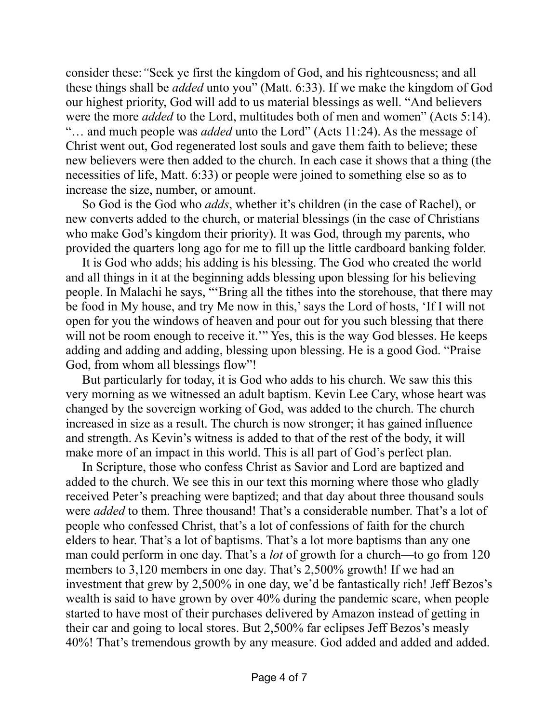consider these:*"*Seek ye first the kingdom of God, and his righteousness; and all these things shall be *added* unto you" (Matt. 6:33). If we make the kingdom of God our highest priority, God will add to us material blessings as well. "And believers were the more *added* to the Lord, multitudes both of men and women" (Acts 5:14). "… and much people was *added* unto the Lord" (Acts 11:24). As the message of Christ went out, God regenerated lost souls and gave them faith to believe; these new believers were then added to the church. In each case it shows that a thing (the necessities of life, Matt. 6:33) or people were joined to something else so as to increase the size, number, or amount.

So God is the God who *adds*, whether it's children (in the case of Rachel), or new converts added to the church, or material blessings (in the case of Christians who make God's kingdom their priority). It was God, through my parents, who provided the quarters long ago for me to fill up the little cardboard banking folder.

It is God who adds; his adding is his blessing. The God who created the world and all things in it at the beginning adds blessing upon blessing for his believing people. In Malachi he says, "'Bring all the tithes into the storehouse, that there may be food in My house, and try Me now in this,' says the Lord of hosts, 'If I will not open for you the windows of heaven and pour out for you such blessing that there will not be room enough to receive it." Yes, this is the way God blesses. He keeps adding and adding and adding, blessing upon blessing. He is a good God. "Praise God, from whom all blessings flow"!

But particularly for today, it is God who adds to his church. We saw this this very morning as we witnessed an adult baptism. Kevin Lee Cary, whose heart was changed by the sovereign working of God, was added to the church. The church increased in size as a result. The church is now stronger; it has gained influence and strength. As Kevin's witness is added to that of the rest of the body, it will make more of an impact in this world. This is all part of God's perfect plan.

In Scripture, those who confess Christ as Savior and Lord are baptized and added to the church. We see this in our text this morning where those who gladly received Peter's preaching were baptized; and that day about three thousand souls were *added* to them. Three thousand! That's a considerable number. That's a lot of people who confessed Christ, that's a lot of confessions of faith for the church elders to hear. That's a lot of baptisms. That's a lot more baptisms than any one man could perform in one day. That's a *lot* of growth for a church—to go from 120 members to 3,120 members in one day. That's 2,500% growth! If we had an investment that grew by 2,500% in one day, we'd be fantastically rich! Jeff Bezos's wealth is said to have grown by over 40% during the pandemic scare, when people started to have most of their purchases delivered by Amazon instead of getting in their car and going to local stores. But 2,500% far eclipses Jeff Bezos's measly 40%! That's tremendous growth by any measure. God added and added and added.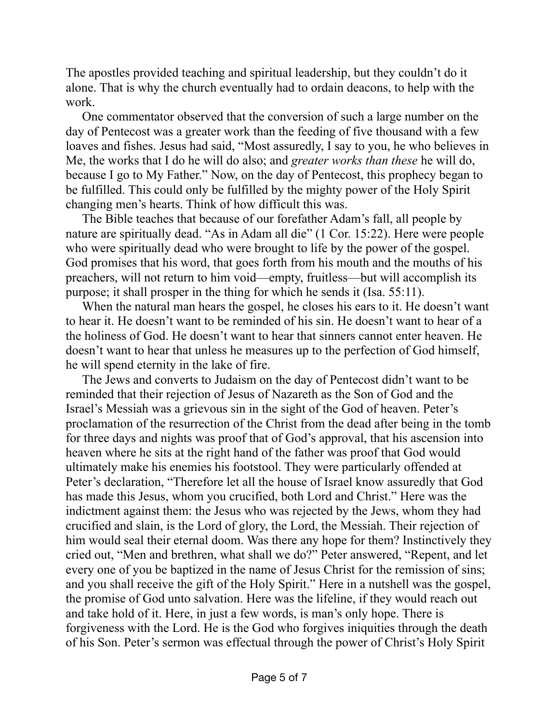The apostles provided teaching and spiritual leadership, but they couldn't do it alone. That is why the church eventually had to ordain deacons, to help with the work.

One commentator observed that the conversion of such a large number on the day of Pentecost was a greater work than the feeding of five thousand with a few loaves and fishes. Jesus had said, "Most assuredly, I say to you, he who believes in Me, the works that I do he will do also; and *greater works than these* he will do, because I go to My Father." Now, on the day of Pentecost, this prophecy began to be fulfilled. This could only be fulfilled by the mighty power of the Holy Spirit changing men's hearts. Think of how difficult this was.

The Bible teaches that because of our forefather Adam's fall, all people by nature are spiritually dead. "As in Adam all die" (1 Cor. 15:22). Here were people who were spiritually dead who were brought to life by the power of the gospel. God promises that his word, that goes forth from his mouth and the mouths of his preachers, will not return to him void—empty, fruitless—but will accomplish its purpose; it shall prosper in the thing for which he sends it (Isa. 55:11).

When the natural man hears the gospel, he closes his ears to it. He doesn't want to hear it. He doesn't want to be reminded of his sin. He doesn't want to hear of a the holiness of God. He doesn't want to hear that sinners cannot enter heaven. He doesn't want to hear that unless he measures up to the perfection of God himself, he will spend eternity in the lake of fire.

The Jews and converts to Judaism on the day of Pentecost didn't want to be reminded that their rejection of Jesus of Nazareth as the Son of God and the Israel's Messiah was a grievous sin in the sight of the God of heaven. Peter's proclamation of the resurrection of the Christ from the dead after being in the tomb for three days and nights was proof that of God's approval, that his ascension into heaven where he sits at the right hand of the father was proof that God would ultimately make his enemies his footstool. They were particularly offended at Peter's declaration, "Therefore let all the house of Israel know assuredly that God has made this Jesus, whom you crucified, both Lord and Christ." Here was the indictment against them: the Jesus who was rejected by the Jews, whom they had crucified and slain, is the Lord of glory, the Lord, the Messiah. Their rejection of him would seal their eternal doom. Was there any hope for them? Instinctively they cried out, "Men and brethren, what shall we do?" Peter answered, "Repent, and let every one of you be baptized in the name of Jesus Christ for the remission of sins; and you shall receive the gift of the Holy Spirit." Here in a nutshell was the gospel, the promise of God unto salvation. Here was the lifeline, if they would reach out and take hold of it. Here, in just a few words, is man's only hope. There is forgiveness with the Lord. He is the God who forgives iniquities through the death of his Son. Peter's sermon was effectual through the power of Christ's Holy Spirit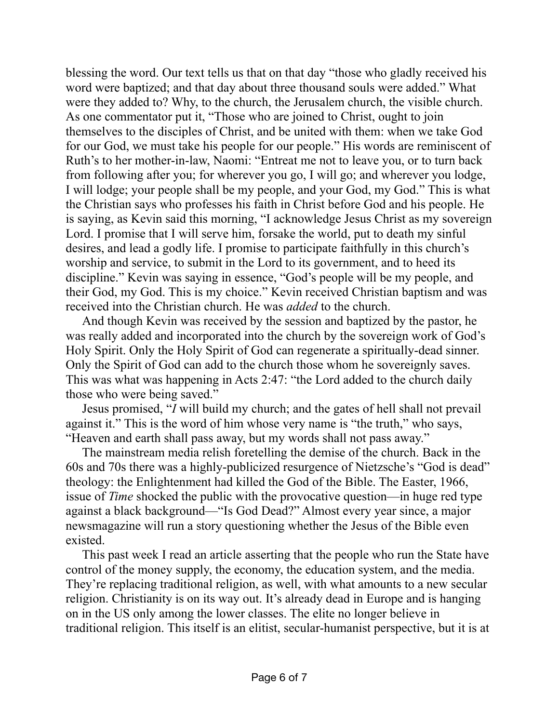blessing the word. Our text tells us that on that day "those who gladly received his word were baptized; and that day about three thousand souls were added." What were they added to? Why, to the church, the Jerusalem church, the visible church. As one commentator put it, "Those who are joined to Christ, ought to join themselves to the disciples of Christ, and be united with them: when we take God for our God, we must take his people for our people." His words are reminiscent of Ruth's to her mother-in-law, Naomi: "Entreat me not to leave you, or to turn back from following after you; for wherever you go, I will go; and wherever you lodge, I will lodge; your people shall be my people, and your God, my God." This is what the Christian says who professes his faith in Christ before God and his people. He is saying, as Kevin said this morning, "I acknowledge Jesus Christ as my sovereign Lord. I promise that I will serve him, forsake the world, put to death my sinful desires, and lead a godly life. I promise to participate faithfully in this church's worship and service, to submit in the Lord to its government, and to heed its discipline." Kevin was saying in essence, "God's people will be my people, and their God, my God. This is my choice." Kevin received Christian baptism and was received into the Christian church. He was *added* to the church.

And though Kevin was received by the session and baptized by the pastor, he was really added and incorporated into the church by the sovereign work of God's Holy Spirit. Only the Holy Spirit of God can regenerate a spiritually-dead sinner. Only the Spirit of God can add to the church those whom he sovereignly saves. This was what was happening in Acts 2:47: "the Lord added to the church daily those who were being saved."

Jesus promised, "*I* will build my church; and the gates of hell shall not prevail against it." This is the word of him whose very name is "the truth," who says, "Heaven and earth shall pass away, but my words shall not pass away."

The mainstream media relish foretelling the demise of the church. Back in the 60s and 70s there was a highly-publicized resurgence of Nietzsche's "God is dead" theology: the Enlightenment had killed the God of the Bible. The Easter, 1966, issue of *Time* shocked the public with the provocative question—in huge red type against a black background—"Is God Dead?" Almost every year since, a major newsmagazine will run a story questioning whether the Jesus of the Bible even existed.

This past week I read an article asserting that the people who run the State have control of the money supply, the economy, the education system, and the media. They're replacing traditional religion, as well, with what amounts to a new secular religion. Christianity is on its way out. It's already dead in Europe and is hanging on in the US only among the lower classes. The elite no longer believe in traditional religion. This itself is an elitist, secular-humanist perspective, but it is at